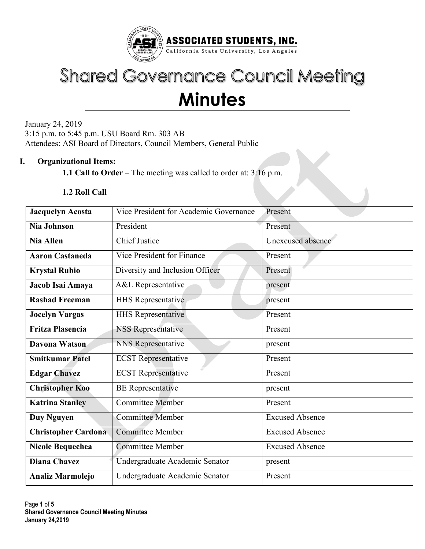

# **Shared Governance Council Meeting Minutes**

January 24, 2019 3:15 p.m. to 5:45 p.m. USU Board Rm. 303 AB Attendees: ASI Board of Directors, Council Members, General Public

## **I. Organizational Items:**

**1.1 Call to Order** – The meeting was called to order at: 3:16 p.m.

#### **1.2 Roll Call**

| Jacquelyn Acosta           | Vice President for Academic Governance | Present                |  |  |
|----------------------------|----------------------------------------|------------------------|--|--|
| Nia Johnson                | President                              | Present                |  |  |
| <b>Nia Allen</b>           | <b>Chief Justice</b>                   | Unexcused absence      |  |  |
| <b>Aaron Castaneda</b>     | Vice President for Finance             | Present                |  |  |
| <b>Krystal Rubio</b>       | Diversity and Inclusion Officer        | Present                |  |  |
| Jacob Isai Amaya           | A&L Representative                     | present                |  |  |
| <b>Rashad Freeman</b>      | <b>HHS Representative</b>              | present                |  |  |
| <b>Jocelyn Vargas</b>      | <b>HHS Representative</b>              | Present                |  |  |
| <b>Fritza Plasencia</b>    | <b>NSS Representative</b>              | Present                |  |  |
| <b>Davona Watson</b>       | NNS Representative                     | present                |  |  |
| <b>Smitkumar Patel</b>     | <b>ECST</b> Representative             | Present                |  |  |
| <b>Edgar Chavez</b>        | <b>ECST</b> Representative             | Present                |  |  |
| <b>Christopher Koo</b>     | <b>BE</b> Representative               | present                |  |  |
| <b>Katrina Stanley</b>     | <b>Committee Member</b>                | Present                |  |  |
| Duy Nguyen                 | <b>Committee Member</b>                | <b>Excused Absence</b> |  |  |
| <b>Christopher Cardona</b> | <b>Committee Member</b>                | <b>Excused Absence</b> |  |  |
| <b>Nicole Bequechea</b>    | <b>Committee Member</b>                | <b>Excused Absence</b> |  |  |
| <b>Diana Chavez</b>        | Undergraduate Academic Senator         | present                |  |  |
| <b>Analiz Marmolejo</b>    | Undergraduate Academic Senator         | Present                |  |  |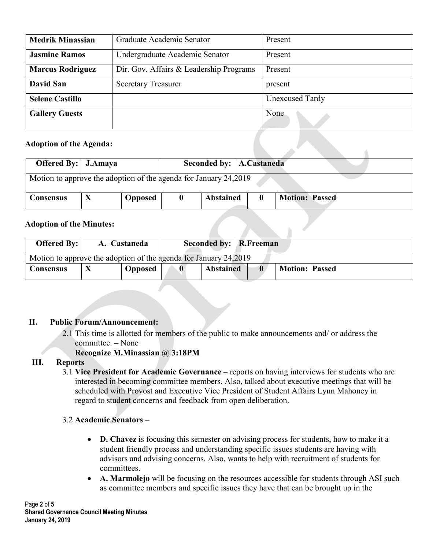| <b>Medrik Minassian</b> | Graduate Academic Senator               | Present                |
|-------------------------|-----------------------------------------|------------------------|
| <b>Jasmine Ramos</b>    | Undergraduate Academic Senator          | Present                |
| <b>Marcus Rodriguez</b> | Dir. Gov. Affairs & Leadership Programs | Present                |
| David San               | <b>Secretary Treasurer</b>              | present                |
| <b>Selene Castillo</b>  |                                         | <b>Unexcused Tardy</b> |
| <b>Gallery Guests</b>   |                                         | None                   |

#### **Adoption of the Agenda:**

| <b>Offered By:</b> J.Amaya |                                                                  |                |  | Seconded by:   A.Castaneda |  |                       |  |  |
|----------------------------|------------------------------------------------------------------|----------------|--|----------------------------|--|-----------------------|--|--|
|                            | Motion to approve the adoption of the agenda for January 24,2019 |                |  |                            |  |                       |  |  |
| Consensus                  |                                                                  | <b>Opposed</b> |  | <b>Abstained</b>           |  | <b>Motion: Passed</b> |  |  |

#### **Adoption of the Minutes:**

| <b>Adoption of the Minutes:</b>                                  |  |                |           |                               |                       |
|------------------------------------------------------------------|--|----------------|-----------|-------------------------------|-----------------------|
| <b>Offered By:</b>                                               |  | A. Castaneda   |           | <b>Seconded by:</b> R.Freeman |                       |
| Motion to approve the adoption of the agenda for January 24,2019 |  |                |           |                               |                       |
| <b>Consensus</b>                                                 |  | <b>Opposed</b> | $\bullet$ | <b>Abstained</b>              | <b>Motion: Passed</b> |

## **II. Public Forum/Announcement:**

- 2.1 This time is allotted for members of the public to make announcements and/ or address the committee. – None
	- **Recognize M.Minassian @ 3:18PM**

## **III. Reports**

3.1 **Vice President for Academic Governance** – reports on having interviews for students who are interested in becoming committee members. Also, talked about executive meetings that will be scheduled with Provost and Executive Vice President of Student Affairs Lynn Mahoney in regard to student concerns and feedback from open deliberation.

## 3.2 **Academic Senators** –

- **D. Chavez** is focusing this semester on advising process for students, how to make it a student friendly process and understanding specific issues students are having with advisors and advising concerns. Also, wants to help with recruitment of students for committees.
- **A. Marmolejo** will be focusing on the resources accessible for students through ASI such as committee members and specific issues they have that can be brought up in the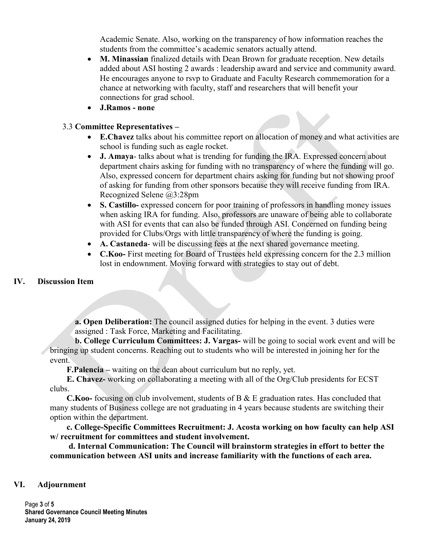Academic Senate. Also, working on the transparency of how information reaches the students from the committee's academic senators actually attend.

- **M. Minassian** finalized details with Dean Brown for graduate reception. New details added about ASI hosting 2 awards : leadership award and service and community award. He encourages anyone to rsvp to Graduate and Faculty Research commemoration for a chance at networking with faculty, staff and researchers that will benefit your connections for grad school.
- **J.Ramos - none**

#### 3.3 **Committee Representatives –**

- **E.Chavez** talks about his committee report on allocation of money and what activities are school is funding such as eagle rocket.
- **J. Amaya** talks about what is trending for funding the IRA. Expressed concern about department chairs asking for funding with no transparency of where the funding will go. Also, expressed concern for department chairs asking for funding but not showing proof of asking for funding from other sponsors because they will receive funding from IRA. Recognized Selene @3:28pm
- **S. Castillo-** expressed concern for poor training of professors in handling money issues when asking IRA for funding. Also, professors are unaware of being able to collaborate with ASI for events that can also be funded through ASI. Concerned on funding being provided for Clubs/Orgs with little transparency of where the funding is going.
- **A. Castaneda** will be discussing fees at the next shared governance meeting.
- **C.Koo-** First meeting for Board of Trustees held expressing concern for the 2.3 million lost in endownment. Moving forward with strategies to stay out of debt.

## **IV. Discussion Item**

**a. Open Deliberation:** The council assigned duties for helping in the event. 3 duties were assigned : Task Force, Marketing and Facilitating.

**b. College Curriculum Committees: J. Vargas-** will be going to social work event and will be bringing up student concerns. Reaching out to students who will be interested in joining her for the event.

**F.Palencia –** waiting on the dean about curriculum but no reply, yet.

**E. Chavez-** working on collaborating a meeting with all of the Org/Club presidents for ECST clubs.

**C.Koo-** focusing on club involvement, students of B & E graduation rates. Has concluded that many students of Business college are not graduating in 4 years because students are switching their option within the department.

**c. College-Specific Committees Recruitment: J. Acosta working on how faculty can help ASI w/ recruitment for committees and student involvement.**

**d. Internal Communication: The Council will brainstorm strategies in effort to better the communication between ASI units and increase familiarity with the functions of each area.** 

#### **VI. Adjournment**

Page **3** of **5 Shared Governance Council Meeting Minutes January 24, 2019**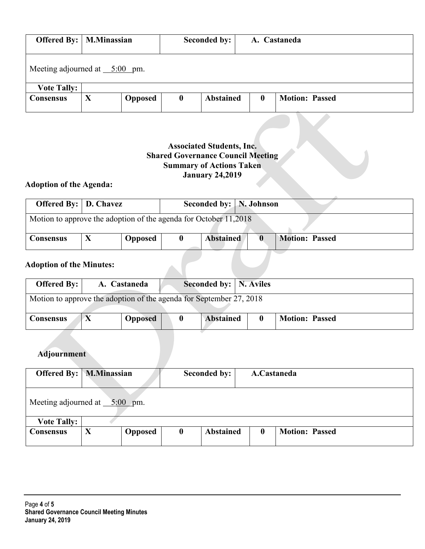|                                           | <b>Offered By:</b>   <b>M.Minassian</b> |                |                  | Seconded by:     |          | A. Castaneda          |
|-------------------------------------------|-----------------------------------------|----------------|------------------|------------------|----------|-----------------------|
| Meeting adjourned at $\frac{5:00}{5}$ pm. |                                         |                |                  |                  |          |                       |
| <b>Vote Tally:</b>                        |                                         |                |                  |                  |          |                       |
| Consensus                                 | X                                       | <b>Opposed</b> | $\boldsymbol{0}$ | <b>Abstained</b> | $\bf{0}$ | <b>Motion: Passed</b> |

# **Associated Students, Inc. Shared Governance Council Meeting Summary of Actions Taken January 24,2019**

# **Adoption of the Agenda:**

| <b>Offered By:</b> D. Chavez                                     |  |                |  | Seconded by: N. Johnson |  |                       |  |
|------------------------------------------------------------------|--|----------------|--|-------------------------|--|-----------------------|--|
| Motion to approve the adoption of the agenda for October 11,2018 |  |                |  |                         |  |                       |  |
| <b>Consensus</b>                                                 |  | <b>Opposed</b> |  | <b>Abstained</b>        |  | <b>Motion: Passed</b> |  |
|                                                                  |  |                |  |                         |  |                       |  |

# **Adoption of the Minutes:**

| <b>Offered By:</b>                                                  |  | A. Castaneda   |          | Seconded by:   N. Aviles |              |                       |  |
|---------------------------------------------------------------------|--|----------------|----------|--------------------------|--------------|-----------------------|--|
| Motion to approve the adoption of the agenda for September 27, 2018 |  |                |          |                          |              |                       |  |
| <b>Consensus</b>                                                    |  | <b>Opposed</b> | $\bf{0}$ | <b>Abstained</b>         | $\mathbf{0}$ | <b>Motion: Passed</b> |  |

# **Adjournment**

| <b>Offered By:</b> M.Minassian  |   | Seconded by:<br>A.Castaneda |          |                  |          |                       |
|---------------------------------|---|-----------------------------|----------|------------------|----------|-----------------------|
| Meeting adjourned at $5:00$ pm. |   |                             |          |                  |          |                       |
| <b>Vote Tally:</b>              |   |                             |          |                  |          |                       |
| <b>Consensus</b>                | X | <b>Opposed</b>              | $\bf{0}$ | <b>Abstained</b> | $\bf{0}$ | <b>Motion: Passed</b> |